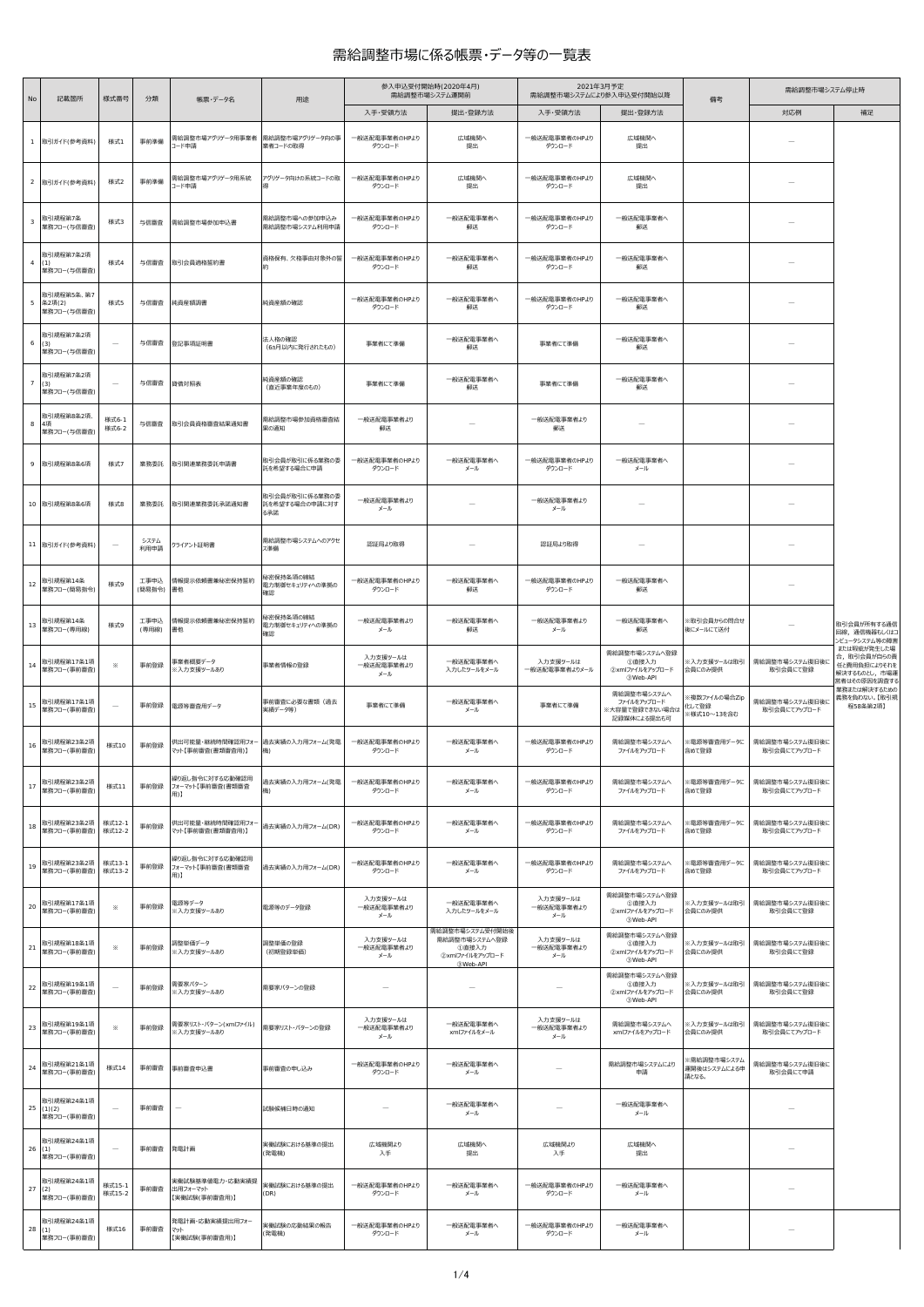## 需給調整市場に係る帳票・データ等の一覧表

| No              | 記載箇所                                   | 様式番号             | 分類             | 帳票・データ名                                              | 用途                                      |                               | 参入申込受付開始時(2020年4月)<br>需給調整市場システム運開前                          | 2021年3月予定<br>需給調整市場システムにより参入申込受付開始以降 |                                                              | 備考                                    | 需給調整市場システム停止時                  |                                                                             |
|-----------------|----------------------------------------|------------------|----------------|------------------------------------------------------|-----------------------------------------|-------------------------------|--------------------------------------------------------------|--------------------------------------|--------------------------------------------------------------|---------------------------------------|--------------------------------|-----------------------------------------------------------------------------|
|                 |                                        |                  |                |                                                      |                                         | 入手·受領方法                       | 提出·登録方法                                                      | 入手·受領方法                              | 提出·登録方法                                                      |                                       | 対応例                            | 補足                                                                          |
|                 | 1 取引ガイド(参考資料)                          | 様式1              | 事前準備           | 需給調整市場アグリゲータ用事業者 需給調整市場アグリゲータ向の事<br>コード申請            | 業者コードの取得                                | 一般送配電事業者のHPより<br>ダウンロード       | 広域機関へ<br>提出                                                  | 一般送配電事業者のHPより<br>ダウンロード              | 広域機関へ<br>提出                                                  |                                       |                                |                                                                             |
|                 | 2 取引ガイド(参考資料)                          | 様式2              | 事前準備           | 需給調整市場アグリゲータ用系統<br>コード申請                             | アグリゲータ向けの系統コードの取                        | 一般送配電事業者のHPより<br>ダウンロード       | 広域機関へ<br>提出                                                  | 一般送配電事業者のHPより<br>ダウンロード              | 広域機関へ<br>提出                                                  |                                       |                                |                                                                             |
| $\mathbf{3}$    | 取引規程第7条<br>業務フロー(与信審査)                 | 様式3              | 与信審査           | 需給調整市場参加申込書                                          | 需給調整市場への参加申込み<br>需給調整市場システム利用申請         | 一般送配電事業者のHPより<br>ダウンロード       | 一般送配電事業者へ<br>郵送                                              | 一般送配電事業者のHPより<br>ダウンロード              | 一般送配電事業者へ<br>郵送                                              |                                       |                                |                                                                             |
|                 | 取引規程第7条2項<br>4(1)<br>業務フロー(与信審査)       | 様式4              | 与信審査           | 取引会員適格誓約書                                            | 資格保有、欠格事由対象外の誓                          | 一般送配電事業者のHPより<br>ダウンロード       | 一般送配電事業者へ<br>郵送                                              | 一般送配電事業者のHPより<br>ダウンロード              | 一般送配電事業者へ<br>郵送                                              |                                       |                                |                                                                             |
|                 | 取引規程第5条、 第7<br>5 条2項(2)<br>業務フロー(与信審査) | 様式5              | 与信審査           | 純資産額調書                                               | 純資産額の確認                                 | 一般送配電事業者のHPより<br>ダウンロード       | 一般送配電事業者へ<br>郵送                                              | 一般送配電事業者のHPより<br>ダウンロード              | 一般送配電事業者へ<br>郵送                                              |                                       |                                |                                                                             |
| $6\overline{6}$ | 取引規程第7条2項<br>(3)<br>業務フロー(与信審査)        |                  | 与信審査           | 登記事項証明書                                              | 法人格の確認<br>(6ヵ月以内に発行されたもの)               | 事業者にて準備                       | 一般送配電事業者へ<br>郵送                                              | 事業者にて準備                              | 一般送配電事業者へ<br>郵送                                              |                                       |                                |                                                                             |
|                 | 取引規程第7条2項<br>7(3)<br>業務フロー(与信審査)       |                  | 与信審査           | 貸借対照表                                                | 純資産額の確認<br>(直近事業年度のもの)                  | 事業者にて準備                       | 一般送配電事業者へ<br>郵送                                              | 事業者にて準備                              | 一般送配雷事業者へ<br>郵送                                              |                                       |                                |                                                                             |
|                 | 取引規程第8条2項.<br>8 4項<br>業務フロー(与信審査)      | 様式6-1<br>様式6-2   | 与信審査           | 取引会員資格審査結果通知書                                        | 需給調整市場参加資格審査結<br>果の通知                   | 一般送配電事業者より<br>郵送              |                                                              | 一般送配電事業者より<br>郵送                     |                                                              |                                       |                                |                                                                             |
|                 | 9 取引規程第8条6項                            | 様式7              | 業務委託           | 取引関連業務委託申請書                                          | 取引会員が取引に係る業務の委<br>託を希望する場合に申請           | 一般送配電事業者のHPより<br>ダウンロード       | 一般送配電事業者へ<br>メール                                             | 一般送配電事業者のHPより<br>ダウンロード              | 一般送配電事業者へ<br>メール                                             |                                       |                                |                                                                             |
|                 | 10 取引規程第8条6項                           | 様式8              | 業務委託           | 取引関連業務委託承諾通知書                                        | 取引会員が取引に係る業務の委<br>託を希望する場合の申請に対す<br>る承諾 | 一般送配電事業者より<br>メール             |                                                              | 一般送配電事業者より<br>メール                    |                                                              |                                       |                                |                                                                             |
|                 | 11 取引ガイド(参考資料)                         |                  | システム<br>利用申請   | クライアント証明書                                            | 需給調整市場システムへのアクセ<br>ス準備                  | 認証局より取得                       |                                                              | 認証局より取得                              |                                                              |                                       |                                |                                                                             |
| 12              | 取引規程第14条<br>業務フロー(簡易指令)                | 様式9              | 工事申込<br>(簡易指令) | 情報提示依頼書兼秘密保持誓約<br>書他                                 | 秘密保持条項の締結<br>電力制御セキュリティへの準拠の<br>確認      | 一般送配電事業者のHPより<br>ダウンロード       | 一般送配電事業者へ<br>郵送                                              | 一般送配電事業者のHPより<br>ダウンロード              | 一般送配電事業者へ<br>郵送                                              |                                       |                                |                                                                             |
|                 | 13 取引規程第14条<br>業務フロー(専用線)              | 様式9              | 工事申込<br>(専用線)  | 情報提示依頼書兼秘密保持誓約<br>書他                                 | 秘密保持条項の締結<br>電力制御セキュリティへの準拠の<br>確認      | 一般送配電事業者より<br>メール             | 一般送配電事業者へ<br>郵送                                              | 一般送配電事業者より<br>メール                    | 一般送配電事業者へ<br>郵送                                              | ※取引会員からの問合せ<br>後にメールにて送付              |                                | 取引会員が所有する通信<br>回線、通信機器もしくはコ<br>ンビュータシステム等の障害<br>または瑕疵が発生した場                 |
|                 | 14 取引規程第17条1項<br>業務フロー(事前審査)           | $\times$         | 事前登録           | 事業者概要データ<br>※入力支援ツールあり                               | 事業者情報の登録                                | 入力支援ツールは<br>一般送配電事業者より<br>メール | 一般送配電事業者へ<br>入力したツールをメール                                     | 入力支援ツールは<br>一般送配電事業者よりメール            | 需給調整市場システムへ登録<br>①直接入力<br>2xmlファイルをアップロード<br><b>3Web-API</b> | ※入力支援ツールは取引<br>会員にのみ提供                | 需給調整市場システム復旧後に<br>取引会員にて登録     | 合、取引会員が自らの責<br>任と費用負担によりそれを<br>解決するものとし、市場運<br>営者はその原因を調査する<br>業務または解決するための |
| 15              | 取引規程第17条1項<br>業務フロー(事前審査)              |                  | 事前登録           | 電源等審査用データ                                            | 事前審査に必要な書類(過去<br>実績データ等)                | 事業者にて準備                       | 一般送配電事業者へ<br>メール                                             | 事業者にて準備                              | 需給調整市場システムへ<br>ファイルをアップロード<br>※大容量で登録できない場合は<br>記録媒体による提出も可  | <複数ファイルの場合Zip<br>化して登録<br>※様式10~13を含む | 需給調整市場システム復旧後に<br>取引会員にてアップロード | 義務を負わない。【取引規<br>程58条第2項】                                                    |
| 16              | 取引規程第23条2項<br>業務フロー(事前審査)              | 様式10             | 事前登録           | 供出可能量・継続時間確認用フォー 過去実績の入力用フォーム(発電<br>マット【事前審査(書類審査用)】 | 機)                                      | 一般送配電事業者のHPより<br>ダウンロード       | 一般送配電事業者へ<br>メール                                             | 一般送配電事業者のHPより<br>ダウンロード              | 需給調整市場システムへ<br>ファイルをアップロード                                   | ※電源等審査用データに<br>含めて登録                  | 需給調整市場システム復旧後に<br>取引会員にてアップロード |                                                                             |
|                 | 17 取引規程第23条2項<br>業務フロー(事前審査)           | 様式11             | 事前登録           | 繰り返し指令に対する応動確認用<br>フォーマット【事前審査(書類審査<br>用)】           | 過去実績の入力用フォーム(発電                         | 一般送配電事業者のHPより<br>ダウンロード       | 一般送配電事業者へ<br>メール                                             | 一般送配電事業者のHPより<br>ダウンロード              | 需給調整市場システムへ<br>ファイルをアップロード                                   | ※電源等審査用データに<br>含めて登録                  | 需給調整市場システム復旧後に<br>取引会員にてアップロード |                                                                             |
|                 | 18 取引規程第23条2項<br>業務フロー(事前審査)           | 様式12-1<br>様式12-2 | 事前登録           | 供出可能量・継続時間確認用フォー<br>マット【事前審査(書類審査用)】                 | 過去実績の入力用フォーム(DR)                        | 一般送配電事業者のHPより<br>ダウンロード       | 一般送配電事業者へ<br>メール                                             | 一般送配電事業者のHPより<br>ダウンロード              | 需給調整市場システムへ<br>ファイルをアップロード                                   | ※電源等審査用データに<br>含めて登録                  | 需給調整市場システム復旧後に<br>取引会員にてアップロード |                                                                             |
|                 | 取引規程第23条2項<br>19 案務フロー(事前審査)           | 様式13-1<br>様式13-2 | 事前登録           | 繰り返し指令に対する応動確認用<br>フォーマット【事前審査(書類審査<br>用)】           | 過去実績の入力用フォーム(DR)                        | 一般送配電事業者のHPより<br>ダウンロード       | 一般送配電事業者へ<br>メール                                             | 一般送配電事業者のHPより<br>ダウンロード              | 需給調整市場システムへ<br>ファイルをアップロード                                   | 《電源等審査用データに<br>含めて登録                  | 需給調整市場システム復旧後に<br>取引会員にてアップロード |                                                                             |
|                 | 20 取引規程第17条1項<br>業務フロー(事前審査)           | $\times$         | 事前登録           | 電源等データ<br>※入力支援ツールあり                                 | 電源等のデータ登録                               | 入力支援ツールは<br>一般送配電事業者より<br>メール | 一般送配電事業者へ<br>入力したツールをメール<br>需給調整市場システム受付開始後                  | 入力支援ツールは<br>一般送配電事業者より<br>メール        | 需給調整市場システムへ登録<br>①直接入力<br>2xmlファイルをアップロード<br><b>3Web-API</b> | ※入力支援ツールは取引<br>会員にのみ提供                | 需給調整市場システム復旧後に<br>取引会員にて登録     |                                                                             |
| 21              | 取引規程第18条1項<br>業務フロー(事前審査)              | ⋇                | 事前登録           | 調整単価データ<br>※入力支援ツールあり                                | 調整単価の登録<br>(初期登録単価)                     | 入力支援ツールは<br>一般送配電事業者より<br>メール | 需給調整市場システムへ登録<br>①直接入力<br>2xmlファイルをアップロード<br><b>3Web-API</b> | 入力支援ツールは<br>一般送配電事業者より<br>メール        | 需給調整市場システムへ登録<br>①直接入力<br>2xmlファイルをアップロード<br><b>3Web-API</b> | ※入力支援ツールは取引<br>会員にのみ提供                | 需給調整市場システム復旧後に<br>取引会員にて登録     |                                                                             |
| 22              | 取引規程第19条1項<br>業務フロー(事前審査)              |                  | 事前登録           | 需要家パターン<br>※入力支援ツールあり                                | 需要家パターンの登録                              |                               | -                                                            |                                      | 需給調整市場システムへ登録<br>①直接入力<br>2xmlファイルをアップロード<br><b>3Web-API</b> | ※入力支援ツールは取引<br>会員にのみ提供                | 需給調整市場システム復旧後に<br>取引会員にて登録     |                                                                             |
|                 | 23 取引規程第19条1項<br>業務フロー(事前審査)           | $\times$         | 事前登録           | 需要家リスト・パターン(xmlファイル)<br>※入力支援ツールあり                   | 需要家リスト・パターンの登録                          | 入力支援ツールは<br>一般送配電事業者より<br>メール | 一般送配電事業者へ<br>xmlファイルをメール                                     | 入力支援ツールは<br>一般送配電事業者より<br>メール        | 需給調整市場システムへ<br>xmlファイルをアップロード                                | ※入力支援ツールは取引<br>会員にのみ提供                | 需給調整市場システム復旧後に<br>取引会員にてアップロード |                                                                             |
|                 | 取引規程第21条1項<br>24 案務フロー(事前審査)           | 様式14             | 事前審査           | 事前審査申込書                                              | 事前審査の申し込み                               | 一般送配電事業者のHPより<br>ダウンロード       | 一般送配電事業者へ<br>メール                                             |                                      | 需給調整市場システムにより<br>申請                                          | 《需給調整市場システム<br>運開後はシステムによる申<br>請となる。  | 需給調整市場システム復旧後に<br>取引会員にて申請     |                                                                             |
|                 | 取引規程第24条1項<br>25(1)(2)<br>業務フロー(事前審査)  |                  | 事前審査           |                                                      | 試験候補日時の通知                               |                               | 一般送配電事業者へ<br>メール                                             |                                      | 一般送配電事業者へ<br>メール                                             |                                       |                                |                                                                             |
|                 | 取引規程第24条1項<br>26(1)<br>業務フロー(事前審査)     |                  | 事前審査           | 発電計画                                                 | 実働試験における基準の提出<br>(発電機)                  | 広域機関より<br>入手                  | 広域機関へ<br>提出                                                  | 広域機関より<br>入手                         | 広域機関へ<br>提出                                                  |                                       |                                |                                                                             |
|                 | 取引規程第24条1項<br>27(2)<br>業務フロー(事前審査)     | 様式15-1<br>様式15-2 | 事前審査           | 実働試験基準値電力・応動実績提<br>出用フォーマット<br>【実働試験(事前審査用)】         | 実働試験における基準の提出<br>(DR)                   | 一般送配電事業者のHPより<br>ダウンロード       | 一般送配電事業者へ<br>メール                                             | 一般送配電事業者のHPより<br>ダウンロード              | 一般送配電事業者へ<br>メール                                             |                                       |                                |                                                                             |
|                 | 取引規程第24条1項<br>28(1)<br>業務フロー(事前審査)     | 様式16             | 事前審査           | 発電計画・応動実績提出用フォー<br>マット<br>【実働試験(事前審査用)】              | 実働試験の応動結果の報告<br>(発電機)                   | 一般送配電事業者のHPより<br>ダウンロード       | 一般送配電事業者へ<br>メール                                             | 一般送配電事業者のHPより<br>ダウンロード              | 一般送配電事業者へ<br>メール                                             |                                       |                                |                                                                             |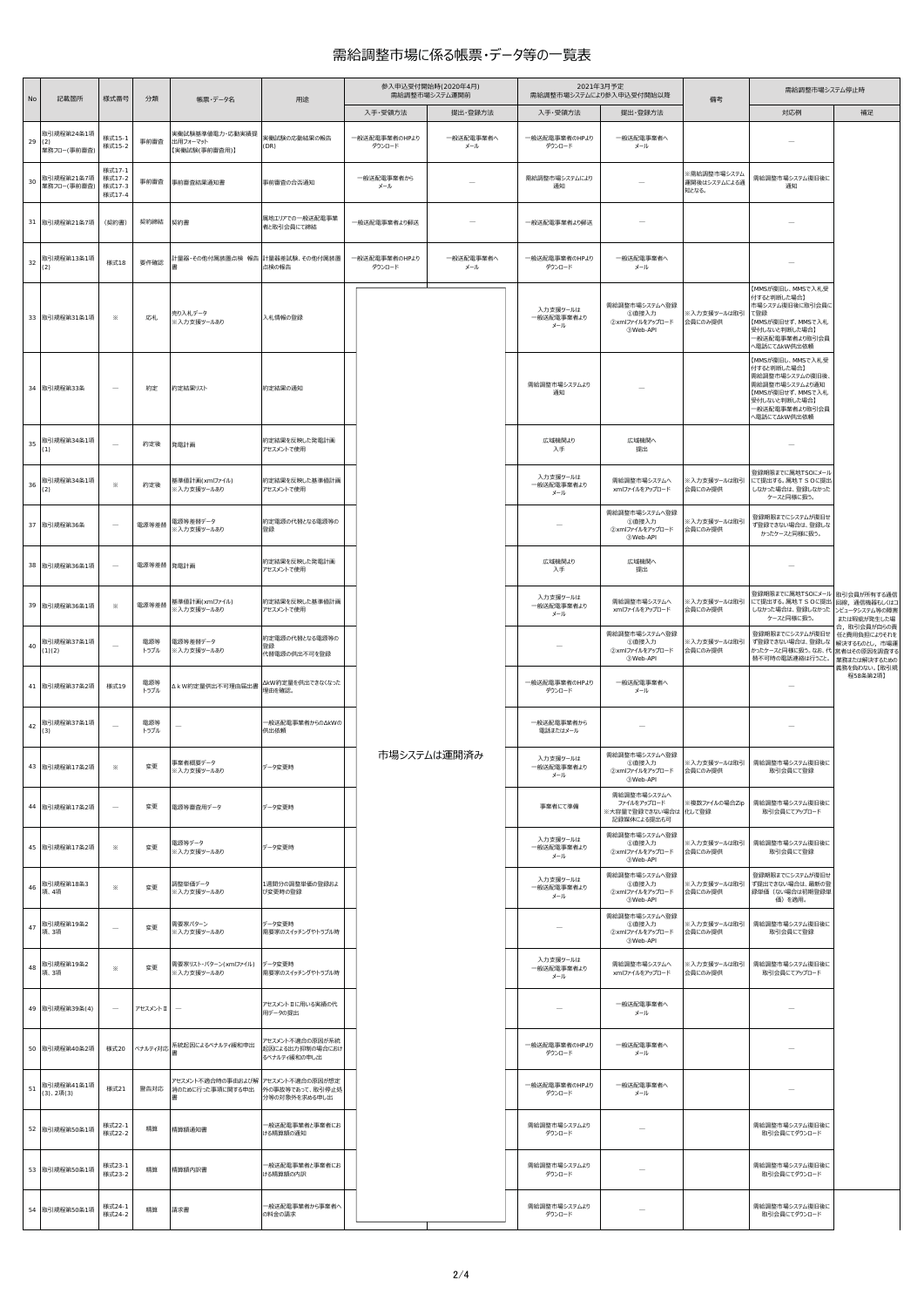## 需給調整市場に係る帳票・データ等の一覧表

| No     | 記載箇所                             | 様式番号                                 | 分類          | 帳票・データ名                                      | 用途                                                  | 参入申込受付開始時(2020年4月)<br>需給調整市場システム運開前 |                  |                               | 2021年3月予定<br>需給調整市場システムにより参入申込受付開始以降                              |                                      | 需給調整市場システム停止時                                                                                                                               |                              |  |
|--------|----------------------------------|--------------------------------------|-------------|----------------------------------------------|-----------------------------------------------------|-------------------------------------|------------------|-------------------------------|-------------------------------------------------------------------|--------------------------------------|---------------------------------------------------------------------------------------------------------------------------------------------|------------------------------|--|
|        |                                  |                                      |             |                                              |                                                     | 入手·受領方法                             | 提出 登録方法          | 入手·受領方法                       | 提出·登録方法                                                           | 備考                                   | 対応例                                                                                                                                         | 補足                           |  |
| 29     | 取引規程第24条1項<br>(2)<br>業務フロー(事前審査) | 様式15-1<br>様式15-2                     | 事前審査        | 実働試験基準値電力・応動実績提<br>出用フォーマット<br>【実働試験(事前審査用)】 | 実働試験の応動結果の報告<br>(DR)                                | 一般送配電事業者のHPより<br>ダウンロード             | 一般送配電事業者へ<br>メール | 一般送配電事業者のHPより<br>ダウンロード       | 一般送配電事業者へ<br>メール                                                  |                                      |                                                                                                                                             |                              |  |
| 30     | 取引規程第21条7項<br>業務フロー(事前審査)        | 様式17-1<br>様式17-2<br>様式17-3<br>様式17-4 | 事前審査        | 事前審査結果通知書                                    | 事前審査の合否通知                                           | 一般送配電事業者から<br>メール                   |                  | 需給調整市場システムにより<br>通知           |                                                                   | ※需給調整市場システム<br>運開後はシステムによる通<br>知となる。 | 需給調整市場システム復旧後に<br>通知                                                                                                                        |                              |  |
|        | 31 取引規程第21条7項                    | (契約書)                                | 契約締結        | 契約書                                          | 属地エリアでの一般送配電事業<br>者と取引会員にて締結                        | 一般送配電事業者より郵送                        |                  | 一般送配電事業者より郵送                  |                                                                   |                                      |                                                                                                                                             |                              |  |
| $32\,$ | 取引規程第13条1項<br>(2)                | 様式18                                 | 要件確認        | 计量器・その他付属装置点検 報告 計量器差試験、その他付属装置              | 点検の報告                                               | 一般送配電事業者のHPより<br>ダウンロード             | 一般送配電事業者へ<br>メール | 一般送配電事業者のHPより<br>ダウンロード       | 一般送配電事業者へ<br>メール                                                  |                                      |                                                                                                                                             |                              |  |
|        | 33 取引規程第31条1項                    | ⋇                                    | 応札          | 売り入札データ<br>※入力支援ツールあり                        | 入札情報の登録                                             |                                     |                  | 入力支援ツールは<br>一般送配電事業者より<br>メール | 需給調整市場システムへ登録<br>①直接入力<br>2xmlファイルをアップロード<br><b>3Web-API</b>      | ※入力支援ツールは取引<br>会員にのみ提供               | 【MMSが復旧し、MMSで入札受<br>付すると判断した場合】<br>市場システム復旧後に取引会員に<br>て登録<br>【MMSが復旧せず、MMSで入札<br>受付しないと判断した場合】<br>一般送配電事業者より取引会員<br>へ電話にて∆kW供出依頼            |                              |  |
|        | 34 取引規程第33条                      | $\overline{\phantom{a}}$             | 約定          | 約定結果リスト                                      | 約定結果の通知                                             |                                     |                  | 需給調整市場システムより<br>通知            |                                                                   |                                      | 【MMSが復旧し、MMSで入札受<br>付すると判断した場合】<br>需給調整市場システムの復旧後、<br>需給調整市場システムより通知<br>【MMSが復旧せず、MMSで入札<br>受付しないと判断した場合】<br>一般送配電事業者より取引会員<br>へ電話にて∆kW供出依頼 |                              |  |
| 35     | 取引規程第34条1項<br>(1)                | $\overline{\phantom{a}}$             | 約定後         | 発電計画                                         | 約定結果を反映した発電計画<br>アセスメントで使用                          |                                     |                  | 広域機関より<br>入手                  | 広域機関へ<br>提出                                                       |                                      | -                                                                                                                                           |                              |  |
| 36     | 取引規程第34条1項<br>(2)                | ⋇                                    | 約定後         | 基準値計画(xmlファイル)<br>※入力支援ツールあり                 | 約定結果を反映した基準値計画<br>アセスメントで使用                         |                                     |                  | 入力支援ツールは<br>一般送配電事業者より<br>メール | 需給調整市場システムへ<br>xmlファイルをアップロード                                     | ※入力支援ツールは取引<br>会員にのみ提供               | 登録期限までに属地TSOにメール<br>にて提出する。属地TSOに提出<br>しなかった場合は、登録しなかった<br>ケースと同様に扱う。                                                                       |                              |  |
|        | 37 取引規程第36条                      |                                      | 電源等差替       | 電源等差替データ<br>※入力支援ツールあり                       | 約定電源の代替となる電源等の<br>登録                                |                                     |                  |                               | 需給調整市場システムへ登録<br>①直接入力<br>2xmlファイルをアップロード<br><b>3Web-API</b>      | ※入力支援ツールは取引<br>会員にのみ提供               | 登録期限までにシステムが復旧せ<br>ず登録できない場合は、登録しな<br>かったケースと同様に扱う。                                                                                         |                              |  |
| 38     | 取引規程第36条1項                       |                                      | 電源等差替 発電計画  |                                              | 約定結果を反映した発電計画<br>アセスメントで使用                          |                                     |                  | 広域機関より<br>入手                  | 広域機関へ<br>提出                                                       |                                      |                                                                                                                                             |                              |  |
|        | 39 取引規程第36条1項                    | ⋇                                    | 電源等差替       | 基準値計画(xmlファイル)<br>※入力支援ツールあり                 | 約定結果を反映した基準値計画<br>アセスメントで使用                         |                                     |                  | 入力支援ツールは<br>一般送配電事業者より<br>メール | 需給調整市場システムへ<br>xmlファイルをアップロード                                     | ※入力支援ツールは取引<br>会員にのみ提供               | 登録期限までに属地TSOにメール 取引会員が所有する通信<br>にて提出する。属地TSOに提出 回線、通信機器もしくはコ<br>しなかった場合は、登録しなかった ンビュータシステム等の障害<br>ケースと同様に扱う。                                | または瑕疵が発生した場<br>合, 取引会員が自らの責  |  |
| 40     | 取引規程第37条1項<br>(1)(2)             |                                      | 電源等<br>トラブル | 電源等差替データ<br>※入力支援ツールあり                       | 約定電源の代替となる電源等の<br>登録<br>代替電源の供出不可を登録                |                                     |                  |                               | 需給調整市場システムへ登録<br>①直接入力<br>2xmlファイルをアップロード<br><b>3Web-API</b>      | ※入力支援ツールは取引<br>会員にのみ提供               | 登録期限までにシステムが復旧せ 任と費用負担によりそれを<br>ず登録できない場合は、登録しな 解決するものとし、市場運<br>かったケースと同様に扱う。なお、代 営者はその原因を調査する<br>替不可時の電話連絡は行うこと。                           | 業務または解決するための<br>義務を負わない。【取引規 |  |
|        | 41 取引規程第37条2項                    | 様式19                                 | 電源等<br>トラブル | △ k W約定量供出不可理由届出書                            | △kW約定量を供出できなくなった<br>理由を確認。                          |                                     |                  | 一般送配電事業者のHPより<br>ダウンロード       | 一般送配電事業者へ<br>メール                                                  |                                      |                                                                                                                                             | 程58条第2項】                     |  |
| $42\,$ | 取引規程第37条1項<br>(3)                |                                      | 電源等<br>トラブル |                                              | →般送配電事業者からの△kWの<br>供出依頼                             |                                     |                  | 一般送配電事業者から<br>電話またはメール        |                                                                   |                                      |                                                                                                                                             |                              |  |
|        | 43 取引規程第17条2項                    | $\times$                             | 変更          | 事業者概要データ<br>※入力支援ツールあり                       | データ変更時                                              |                                     | 市場システムは運開済み      | 入力支援ツールは<br>一般送配電事業者より<br>メール | 需給調整市場システムへ登録<br>①直接入力<br>2xmlファイルをアップロード<br><b>3Web-API</b>      | ※入力支援ツールは取引<br>会員にのみ提供               | 需給調整市場システム復旧後に<br>取引会員にて登録                                                                                                                  |                              |  |
|        | 44 取引規程第17条2項                    | $\overline{\phantom{a}}$             | 変更          | 電源等審査用データ                                    | データ変更時                                              |                                     |                  | 事業者にて準備                       | 需給調整市場システムへ<br>ファイルをアップロード<br>※大容量で登録できない場合は 化して登録<br>記録媒体による提出も可 | ※複数ファイルの場合Zip                        | 需給調整市場システム復旧後に<br>取引会員にてアップロード                                                                                                              |                              |  |
|        | 45 取引規程第17条2項                    | $\times$                             | 変更          | 電源等データ<br>※入力支援ツールあり                         | データ変更時                                              |                                     |                  | 入力支援ツールは<br>一般送配電事業者より<br>メール | 需給調整市場システムへ登録<br>①直接入力<br>2xmlファイルをアップロード<br><b>33Web-API</b>     | ※入力支援ツールは取引<br>会員にのみ提供               | 需給調整市場システム復旧後に<br>取引会員にて登録                                                                                                                  |                              |  |
| 46     | 取引規程第18条3<br>項、4項                | $\times$                             | 変更          | 調整単価データ<br>※入力支援ツールあり                        | 1週間分の調整単価の登録およ<br>び変更時の登録                           |                                     |                  | 入力支援ツールは<br>一般送配電事業者より<br>メール | 需給調整市場システムへ登録<br>①直接入力<br>2xmlファイルをアップロード<br><b>3Web-API</b>      | ※入力支援ツールは取引<br>会員にのみ提供               | 登録期限までにシステムが復旧せ<br>ず提出できない場合は、最新の登<br>録単価(ない場合は初期登録単<br>価) を適用。                                                                             |                              |  |
| 47     | 取引規程第19条2<br>項、3項                | $\overline{\phantom{a}}$             | 変更          | 需要家パターン<br>※入力支援ツールあり                        | データ変更時<br>需要家のスイッチングやトラブル時                          |                                     |                  |                               | 需給調整市場システムへ登録<br>①直接入力<br>②xmlファイルをアップロード<br><b>3Web-API</b>      | ※入力支援ツールは取引<br>会員にのみ提供               | 需給調整市場システム復旧後に<br>取引会員にて登録                                                                                                                  |                              |  |
| 48     | 取引規程第19条2<br>項、3項                | $\times$                             | 変更          | 需要家リスト・パターン(xmlファイル)<br>※入力支援ツールあり           | データ変更時<br>需要家のスイッチングやトラブル時                          |                                     |                  | 入力支援ツールは<br>一般送配電事業者より<br>メール | 需給調整市場システムへ<br>xmlファイルをアップロード                                     | ※入力支援ツールは取引<br>会員にのみ提供               | 需給調整市場システム復旧後に<br>取引会員にてアップロード                                                                                                              |                              |  |
|        | 49 取引規程第39条(4)                   | $\sim$                               | アセスメントⅡ     |                                              | アセスメントⅡに用いる実績の代<br>用データの提出                          |                                     |                  |                               | 一般送配電事業者へ<br>メール                                                  |                                      |                                                                                                                                             |                              |  |
|        | 50 取引規程第40条2項                    | 様式20                                 |             | ペナルティ対応 系統起因によるペナルティ緩和申出                     | アセスメント不適合の原因が系統<br>起因による出力抑制の場合におけ<br>るペナルティ緩和の申し出  |                                     |                  | 一般送配電事業者のHPより<br>ダウンロード       | 一般送配電事業者へ<br>メール                                                  |                                      |                                                                                                                                             |                              |  |
| 51     | 取引規程第41条1項<br>(3), 24(3)         | 様式21                                 | 警告対応        | アセスメント不適合時の事由および解<br>消のために行った事項に関する申出        | アセスメント不適合の原因が想定<br>外の事故等であって、取引停止処<br>分等の対象外を求める申し出 |                                     |                  | 一般送配電事業者のHPより<br>ダウンロード       | 一般送配電事業者へ<br>メール                                                  |                                      |                                                                                                                                             |                              |  |
|        | 52 取引規程第50条1項                    | 様式22-1<br>様式22-2                     | 精算          | 精算額通知書                                       | 一般送配電事業者と事業者にお<br>ける精算額の通知                          |                                     |                  | 需給調整市場システムより<br>ダウンロード        |                                                                   |                                      | 需給調整市場システム復旧後に<br>取引会員にてダウンロード                                                                                                              |                              |  |
|        | 53 取引規程第50条1項                    | 様式23-1<br>様式23-2                     | 精算          | 精算額内訳書                                       | 般送配電事業者と事業者にお<br>ける精算額の内訳                           |                                     |                  | 需給調整市場システムより<br>ダウンロード        |                                                                   |                                      | 需給調整市場システム復旧後に<br>取引会員にてダウンロード                                                                                                              |                              |  |
|        | 54 取引規程第50条1項                    | 様式24-1<br>様式24-2                     | 精算          | 請求書                                          | -般送配電事業者から事業者^<br>の料金の請求                            |                                     |                  | 需給調整市場システムより<br>ダウンロード        |                                                                   |                                      | 需給調整市場システム復旧後に<br>取引会員にてダウンロード                                                                                                              |                              |  |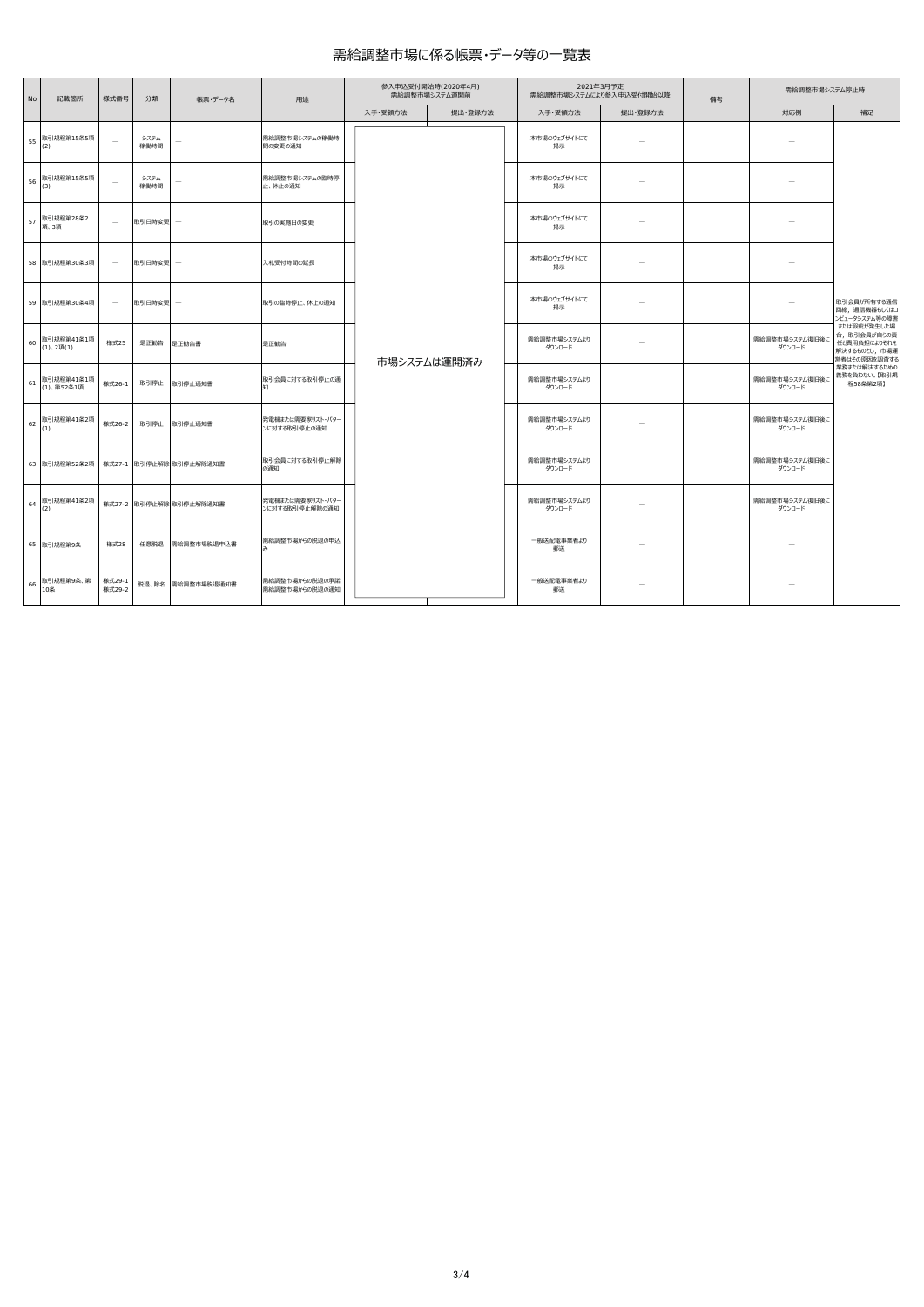## 需給調整市場に係る帳票・データ等の一覧表

| No | 記載箇所                         | 様式番号                     | 分類           | 帳票・データ名                 | 用途                                 |  | 参入申込受付開始時(2020年4月)<br>需給調整市場システム運開前 |             | 2021年3月予定<br>需給調整市場システムにより参入申込受付開始以降 |                          | 備考 | 需給調整市場システム停止時            |                                                                            |
|----|------------------------------|--------------------------|--------------|-------------------------|------------------------------------|--|-------------------------------------|-------------|--------------------------------------|--------------------------|----|--------------------------|----------------------------------------------------------------------------|
|    |                              |                          |              |                         |                                    |  | 入手·受領方法                             | 提出 登録方法     | 入手·受領方法                              | 提出·登録方法                  |    | 対応例                      | 補足                                                                         |
| 55 | 取引規程第15条5項<br>(2)            | $\overline{\phantom{a}}$ | システム<br>稼働時間 |                         | 需給調整市場システムの稼働時<br>間の変更の通知          |  |                                     |             | 本市場のウェブサイトにて<br>掲示                   |                          |    |                          |                                                                            |
| 56 | 取引規程第15条5項<br>(3)            | $\overline{\phantom{a}}$ | システム<br>稼働時間 |                         | 需給調整市場システムの臨時停<br>止、休止の通知          |  |                                     |             | 本市場のウェブサイトにて<br>掲示                   |                          |    |                          |                                                                            |
| 57 | 取引規程第28条2<br>項、3項            | $\overline{\phantom{a}}$ | 取引日時変更       |                         | 取引の実施日の変更                          |  |                                     |             | 本市場のウェブサイトにて<br>掲示                   | $\overline{\phantom{a}}$ |    |                          |                                                                            |
|    | 58 取引規程第30条3項                | $\overline{\phantom{a}}$ | 取引日時変更       |                         | 入札受付時間の延長                          |  |                                     |             | 本市場のウェブサイトにて<br>掲示                   |                          |    |                          | 取引会員が所有する通信<br>回線、通信機器もしくはコ<br>ンビュータシステム等の障害                               |
|    | 59 取引規程第30条4項                | $\overline{\phantom{a}}$ | 取引日時変更       |                         | 取引の臨時停止、休止の通知                      |  |                                     |             | 本市場のウェブサイトにて<br>掲示                   |                          |    |                          |                                                                            |
| 60 | 取引規程第41条1項<br>$(1), 2\Pi(1)$ | 様式25                     | 是正勧告         | 是正勧告書                   | 是正勧告                               |  |                                     | 市場システムは運開済み | 需給調整市場システムより<br>ダウンロード               |                          |    | 需給調整市場システム復旧後に<br>ダウンロード | または瑕疵が発生した場<br>合,取引会員が自らの責<br>任と費用負担によりそれを<br>解決するものとし、市場運<br>営者はその原因を調査する |
| 61 | 取引規程第41条1項<br>(1)、第52条1項     | 様式26-1                   | 取引停止         | 取引停止通知書                 | 取引会員に対する取引停止の通                     |  |                                     |             | 需給調整市場システムより<br>ダウンロード               |                          |    | 需給調整市場システム復旧後に<br>ダウンロード | 業務または解決するための<br>義務を負わない。【取引規<br>程58条第2項】                                   |
| 62 | 取引規程第41条2項<br>(1)            | 様式26-2                   | 取引停止         | 取引停止通知書                 | 発電機または需要家リスト・パター<br>ンに対する取引停止の通知   |  |                                     |             | 需給調整市場システムより<br>ダウンロード               |                          |    | 需給調整市場システム復旧後に<br>ダウンロード |                                                                            |
|    | 63 取引規程第52条2項                |                          |              | 様式27-1 取引停止解除 取引停止解除通知書 | 取引会員に対する取引停止解除<br>の通知              |  |                                     |             | 需給調整市場システムより<br>ダウンロード               |                          |    | 需給調整市場システム復旧後に<br>ダウンロード |                                                                            |
| 64 | 取引規程第41条2項<br>(2)            |                          |              | 様式27-2 取引停止解除 取引停止解除通知書 | 発電機または需要家リスト・パター<br>ンに対する取引停止解除の通知 |  |                                     |             | 需給調整市場システムより<br>ダウンロード               |                          |    | 需給調整市場システム復旧後に<br>ダウンロード |                                                                            |
|    | 65 取引規程第9条                   | <b>様式28</b>              | 任意脱退         | 需給調整市場脱退申込書             | 需給調整市場からの脱退の申込                     |  |                                     |             | 一般送配電事業者より<br>郵送                     |                          |    |                          |                                                                            |
| 66 | 取引規程第9条、第<br>10条             | 様式29-1<br>様式29-2         |              | 脱退、除名 需給調整市場脱退通知書       | 需給調整市場からの脱退の承諾<br>需給調整市場からの脱退の通知   |  |                                     |             | 一般送配電事業者より<br>郵送                     | $\overline{\phantom{a}}$ |    | -                        |                                                                            |